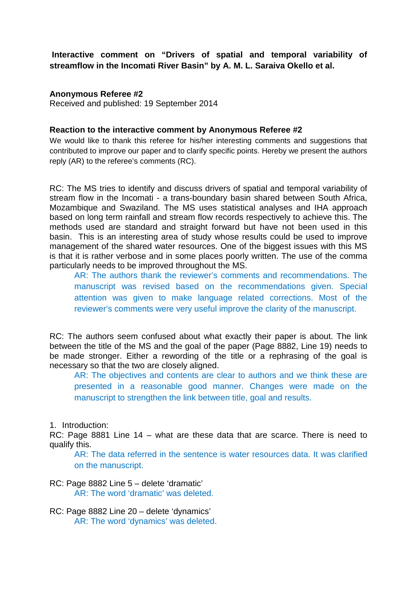**Interactive comment on "Drivers of spatial and temporal variability of streamflow in the Incomati River Basin" by A. M. L. Saraiva Okello et al.**

# **Anonymous Referee #2**

Received and published: 19 September 2014

## **Reaction to the interactive comment by Anonymous Referee #2**

We would like to thank this referee for his/her interesting comments and suggestions that contributed to improve our paper and to clarify specific points. Hereby we present the authors reply (AR) to the referee's comments (RC).

RC: The MS tries to identify and discuss drivers of spatial and temporal variability of stream flow in the Incomati - a trans-boundary basin shared between South Africa, Mozambique and Swaziland. The MS uses statistical analyses and IHA approach based on long term rainfall and stream flow records respectively to achieve this. The methods used are standard and straight forward but have not been used in this basin. This is an interesting area of study whose results could be used to improve management of the shared water resources. One of the biggest issues with this MS is that it is rather verbose and in some places poorly written. The use of the comma particularly needs to be improved throughout the MS.

AR: The authors thank the reviewer's comments and recommendations. The manuscript was revised based on the recommendations given. Special attention was given to make language related corrections. Most of the reviewer's comments were very useful improve the clarity of the manuscript.

RC: The authors seem confused about what exactly their paper is about. The link between the title of the MS and the goal of the paper (Page 8882, Line 19) needs to be made stronger. Either a rewording of the title or a rephrasing of the goal is necessary so that the two are closely aligned.

AR: The objectives and contents are clear to authors and we think these are presented in a reasonable good manner. Changes were made on the manuscript to strengthen the link between title, goal and results.

1. Introduction:

RC: Page 8881 Line 14 – what are these data that are scarce. There is need to qualify this.

AR: The data referred in the sentence is water resources data. It was clarified on the manuscript.

- RC: Page 8882 Line 5 delete 'dramatic' AR: The word 'dramatic' was deleted.
- RC: Page 8882 Line 20 delete 'dynamics' AR: The word 'dynamics' was deleted.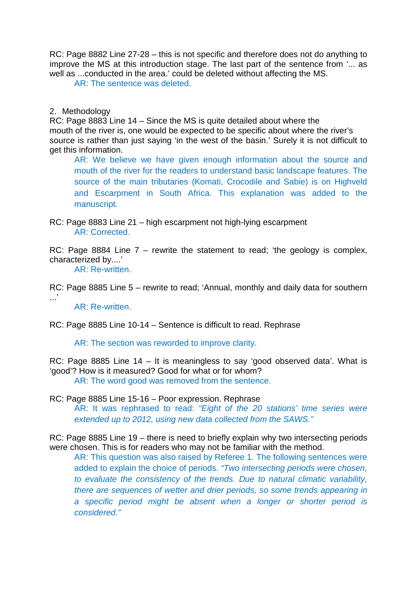RC: Page 8882 Line 27-28 – this is not specific and therefore does not do anything to improve the MS at this introduction stage. The last part of the sentence from '... as well as ...conducted in the area.' could be deleted without affecting the MS.

AR: The sentence was deleted.

# 2. Methodology

RC: Page 8883 Line 14 – Since the MS is quite detailed about where the mouth of the river is, one would be expected to be specific about where the river's source is rather than just saying 'in the west of the basin.' Surely it is not difficult to get this information.

AR: We believe we have given enough information about the source and mouth of the river for the readers to understand basic landscape features. The source of the main tributaries (Komati, Crocodile and Sabie) is on Highveld and Escarpment in South Africa. This explanation was added to the manuscript.

RC: Page 8883 Line 21 – high escarpment not high-lying escarpment AR: Corrected.

RC: Page 8884 Line  $7$  – rewrite the statement to read: 'the geology is complex, characterized by....'

AR: Re-written.

RC: Page 8885 Line 5 – rewrite to read; 'Annual, monthly and daily data for southern  $\cdot$ ...'

AR: Re-written.

RC: Page 8885 Line 10-14 – Sentence is difficult to read. Rephrase

AR: The section was reworded to improve clarity.

RC: Page 8885 Line 14 – It is meaningless to say 'good observed data'. What is 'good'? How is it measured? Good for what or for whom?

AR: The word good was removed from the sentence.

RC: Page 8885 Line 15-16 – Poor expression. Rephrase

AR: It was rephrased to read: *"Eight of the 20 stations' time series were extended up to 2012, using new data collected from the SAWS."*

RC: Page 8885 Line 19 – there is need to briefly explain why two intersecting periods were chosen. This is for readers who may not be familiar with the method.

AR: This question was also raised by Referee 1. The following sentences were added to explain the choice of periods. *"Two intersecting periods were chosen, to evaluate the consistency of the trends. Due to natural climatic variability, there are sequences of wetter and drier periods, so some trends appearing in a specific period might be absent when a longer or shorter period is considered."*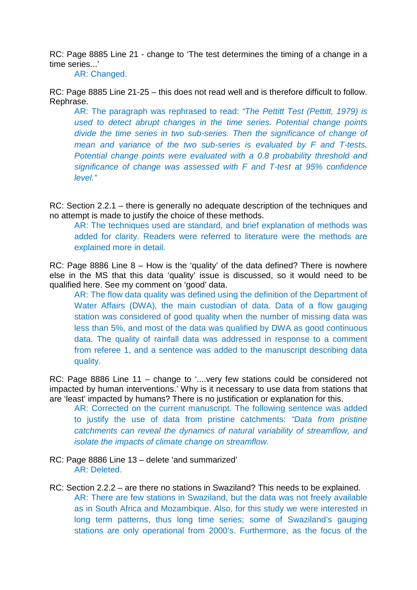RC: Page 8885 Line 21 - change to 'The test determines the timing of a change in a time series...'

AR: Changed.

RC: Page 8885 Line 21-25 – this does not read well and is therefore difficult to follow. Rephrase.

AR: The paragraph was rephrased to read: *"The Pettitt Test (Pettitt, 1979) is used to detect abrupt changes in the time series. Potential change points divide the time series in two sub-series. Then the significance of change of mean and variance of the two sub-series is evaluated by F and T-tests. Potential change points were evaluated with a 0.8 probability threshold and significance of change was assessed with F and T-test at 95% confidence level."*

RC: Section 2.2.1 – there is generally no adequate description of the techniques and no attempt is made to justify the choice of these methods.

AR: The techniques used are standard, and brief explanation of methods was added for clarity. Readers were referred to literature were the methods are explained more in detail.

RC: Page 8886 Line 8 – How is the 'quality' of the data defined? There is nowhere else in the MS that this data 'quality' issue is discussed, so it would need to be qualified here. See my comment on 'good' data.

AR: The flow data quality was defined using the definition of the Department of Water Affairs (DWA), the main custodian of data. Data of a flow gauging station was considered of good quality when the number of missing data was less than 5%, and most of the data was qualified by DWA as good continuous data. The quality of rainfall data was addressed in response to a comment from referee 1, and a sentence was added to the manuscript describing data quality.

RC: Page 8886 Line 11 – change to '....very few stations could be considered not impacted by human interventions.' Why is it necessary to use data from stations that are 'least' impacted by humans? There is no justification or explanation for this.

AR: Corrected on the current manuscript. The following sentence was added to justify the use of data from pristine catchments: *"Data from pristine catchments can reveal the dynamics of natural variability of streamflow, and isolate the impacts of climate change on streamflow.*

- RC: Page 8886 Line 13 delete 'and summarized' AR: Deleted.
- RC: Section 2.2.2 are there no stations in Swaziland? This needs to be explained. AR: There are few stations in Swaziland, but the data was not freely available as in South Africa and Mozambique. Also, for this study we were interested in long term patterns, thus long time series; some of Swaziland's gauging stations are only operational from 2000's. Furthermore, as the focus of the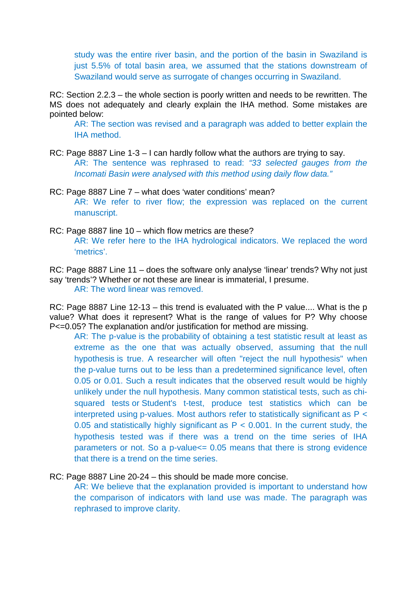study was the entire river basin, and the portion of the basin in Swaziland is just 5.5% of total basin area, we assumed that the stations downstream of Swaziland would serve as surrogate of changes occurring in Swaziland.

RC: Section 2.2.3 – the whole section is poorly written and needs to be rewritten. The MS does not adequately and clearly explain the IHA method. Some mistakes are pointed below:

AR: The section was revised and a paragraph was added to better explain the IHA method.

- RC: Page 8887 Line 1-3 I can hardly follow what the authors are trying to say. AR: The sentence was rephrased to read: *"33 selected gauges from the Incomati Basin were analysed with this method using daily flow data."*
- RC: Page 8887 Line 7 what does 'water conditions' mean? AR: We refer to river flow; the expression was replaced on the current manuscript.
- RC: Page 8887 line 10 which flow metrics are these? AR: We refer here to the IHA hydrological indicators. We replaced the word 'metrics'.
- RC: Page 8887 Line 11 does the software only analyse 'linear' trends? Why not just say 'trends'? Whether or not these are linear is immaterial, I presume. AR: The word linear was removed.

RC: Page 8887 Line 12-13 – this trend is evaluated with the P value.... What is the p value? What does it represent? What is the range of values for P? Why choose P<=0.05? The explanation and/or justification for method are missing.

AR: The p-value is the [probability](http://en.wikipedia.org/wiki/Probability) of obtaining a [test statistic](http://en.wikipedia.org/wiki/Test_statistic) result at least as extreme as the one that was actually observed, assuming that the [null](http://en.wikipedia.org/wiki/Null_hypothesis)  [hypothesis](http://en.wikipedia.org/wiki/Null_hypothesis) is true. A researcher will often "reject the null hypothesis" when the p-value turns out to be less than a predetermined [significance level,](http://en.wikipedia.org/wiki/Statistical_significance) often 0.05 or 0.01. Such a result indicates that the observed result would be highly unlikely under the null hypothesis. Many common statistical tests, such as [chi](http://en.wikipedia.org/wiki/Chi-squared_test)[squared tests](http://en.wikipedia.org/wiki/Chi-squared_test) or [Student's t-test,](http://en.wikipedia.org/wiki/Student%27s_t-test) produce test statistics which can be interpreted using p-values. Most authors refer to statistically significant as P < 0.05 and statistically highly significant as  $P < 0.001$ . In the current study, the hypothesis tested was if there was a trend on the time series of IHA parameters or not. So a p-value<= 0.05 means that there is strong evidence that there is a trend on the time series.

RC: Page 8887 Line 20-24 – this should be made more concise.

AR: We believe that the explanation provided is important to understand how the comparison of indicators with land use was made. The paragraph was rephrased to improve clarity.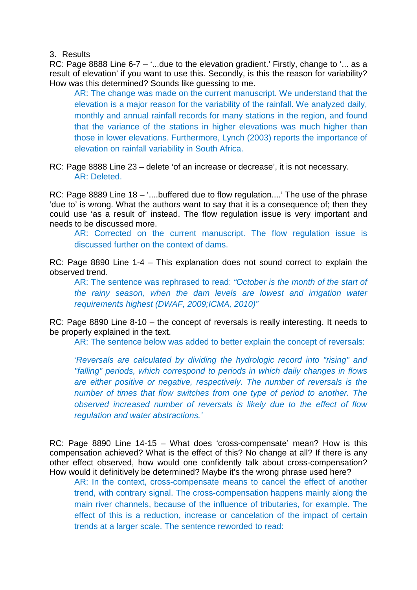3. Results

RC: Page 8888 Line 6-7 – '...due to the elevation gradient.' Firstly, change to '... as a result of elevation' if you want to use this. Secondly, is this the reason for variability? How was this determined? Sounds like guessing to me.

AR: The change was made on the current manuscript. We understand that the elevation is a major reason for the variability of the rainfall. We analyzed daily, monthly and annual rainfall records for many stations in the region, and found that the variance of the stations in higher elevations was much higher than those in lower elevations. Furthermore, Lynch (2003) reports the importance of elevation on rainfall variability in South Africa.

RC: Page 8888 Line 23 – delete 'of an increase or decrease', it is not necessary. AR: Deleted.

RC: Page 8889 Line 18 – '....buffered due to flow regulation....' The use of the phrase 'due to' is wrong. What the authors want to say that it is a consequence of; then they could use 'as a result of' instead. The flow regulation issue is very important and needs to be discussed more.

AR: Corrected on the current manuscript. The flow regulation issue is discussed further on the context of dams.

RC: Page 8890 Line 1-4 – This explanation does not sound correct to explain the observed trend.

AR: The sentence was rephrased to read: *"October is the month of the start of the rainy season, when the dam levels are lowest and irrigation water requirements highest (DWAF, 2009;ICMA, 2010)"*

RC: Page 8890 Line 8-10 – the concept of reversals is really interesting. It needs to be properly explained in the text.

AR: The sentence below was added to better explain the concept of reversals:

'*Reversals are calculated by dividing the hydrologic record into "rising" and "falling" periods, which correspond to periods in which daily changes in flows are either positive or negative, respectively. The number of reversals is the number of times that flow switches from one type of period to another. The observed increased number of reversals is likely due to the effect of flow regulation and water abstractions.'*

RC: Page 8890 Line 14-15 – What does 'cross-compensate' mean? How is this compensation achieved? What is the effect of this? No change at all? If there is any other effect observed, how would one confidently talk about cross-compensation? How would it definitively be determined? Maybe it's the wrong phrase used here?

AR: In the context, cross-compensate means to cancel the effect of another trend, with contrary signal. The cross-compensation happens mainly along the main river channels, because of the influence of tributaries, for example. The effect of this is a reduction, increase or cancelation of the impact of certain trends at a larger scale. The sentence reworded to read: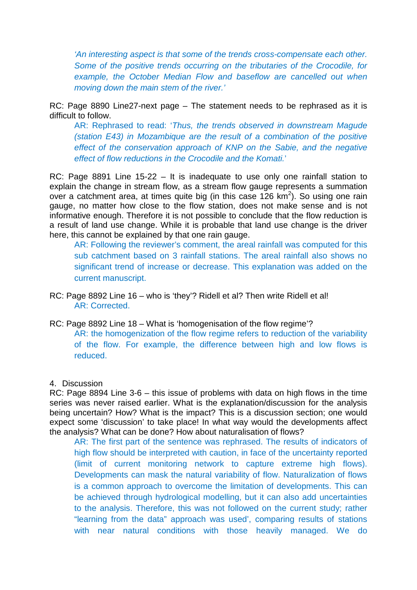*'An interesting aspect is that some of the trends cross-compensate each other. Some of the positive trends occurring on the tributaries of the Crocodile, for example, the October Median Flow and baseflow are cancelled out when moving down the main stem of the river.'*

RC: Page 8890 Line27-next page – The statement needs to be rephrased as it is difficult to follow.

AR: Rephrased to read: '*Thus, the trends observed in downstream Magude (station E43) in Mozambique are the result of a combination of the positive effect of the conservation approach of KNP on the Sabie, and the negative effect of flow reductions in the Crocodile and the Komati.*'

RC: Page 8891 Line 15-22 – It is inadequate to use only one rainfall station to explain the change in stream flow, as a stream flow gauge represents a summation over a catchment area, at times quite big (in this case 126  $km^2$ ). So using one rain gauge, no matter how close to the flow station, does not make sense and is not informative enough. Therefore it is not possible to conclude that the flow reduction is a result of land use change. While it is probable that land use change is the driver here, this cannot be explained by that one rain gauge.

AR: Following the reviewer's comment, the areal rainfall was computed for this sub catchment based on 3 rainfall stations. The areal rainfall also shows no significant trend of increase or decrease. This explanation was added on the current manuscript.

- RC: Page 8892 Line 16 who is 'they'? Ridell et al? Then write Ridell et al! AR: Corrected.
- RC: Page 8892 Line 18 What is 'homogenisation of the flow regime'? AR: the homogenization of the flow regime refers to reduction of the variability of the flow. For example, the difference between high and low flows is reduced.

### 4. Discussion

RC: Page 8894 Line 3-6 – this issue of problems with data on high flows in the time series was never raised earlier. What is the explanation/discussion for the analysis being uncertain? How? What is the impact? This is a discussion section; one would expect some 'discussion' to take place! In what way would the developments affect the analysis? What can be done? How about naturalisation of flows?

AR: The first part of the sentence was rephrased. The results of indicators of high flow should be interpreted with caution, in face of the uncertainty reported (limit of current monitoring network to capture extreme high flows). Developments can mask the natural variability of flow. Naturalization of flows is a common approach to overcome the limitation of developments. This can be achieved through hydrological modelling, but it can also add uncertainties to the analysis. Therefore, this was not followed on the current study; rather "learning from the data" approach was used', comparing results of stations with near natural conditions with those heavily managed. We do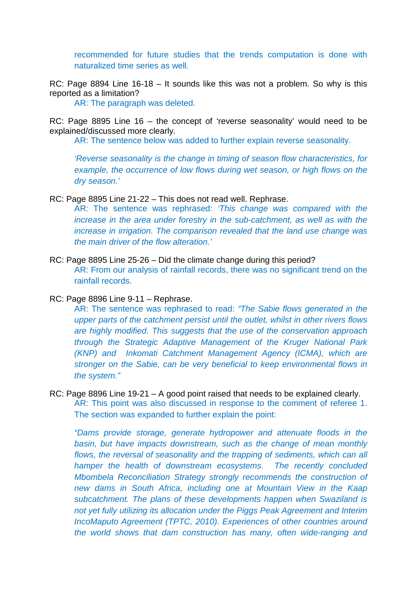recommended for future studies that the trends computation is done with naturalized time series as well.

RC: Page 8894 Line 16-18 – It sounds like this was not a problem. So why is this reported as a limitation?

AR: The paragraph was deleted.

RC: Page 8895 Line 16 – the concept of 'reverse seasonality' would need to be explained/discussed more clearly.

AR: The sentence below was added to further explain reverse seasonality.

*'Reverse seasonality is the change in timing of season flow characteristics, for example, the occurrence of low flows during wet season, or high flows on the dry season.'*

RC: Page 8895 Line 21-22 – This does not read well. Rephrase.

AR: The sentence was rephrased: *'This change was compared with the increase in the area under forestry in the sub-catchment, as well as with the increase in irrigation. The comparison revealed that the land use change was the main driver of the flow alteration.'*

RC: Page 8895 Line 25-26 – Did the climate change during this period? AR: From our analysis of rainfall records, there was no significant trend on the rainfall records.

RC: Page 8896 Line 9-11 – Rephrase.

AR: The sentence was rephrased to read: *"The Sabie flows generated in the upper parts of the catchment persist until the outlet, whilst in other rivers flows are highly modified. This suggests that the use of the conservation approach through the Strategic Adaptive Management of the Kruger National Park (KNP) and Inkomati Catchment Management Agency (ICMA), which are stronger on the Sabie, can be very beneficial to keep environmental flows in the system."*

RC: Page 8896 Line 19-21 – A good point raised that needs to be explained clearly. AR: This point was also discussed in response to the comment of referee 1. The section was expanded to further explain the point:

*"Dams provide storage, generate hydropower and attenuate floods in the basin, but have impacts downstream, such as the change of mean monthly*  flows, the reversal of seasonality and the trapping of sediments, which can all *hamper the health of downstream ecosystems. The recently concluded Mbombela Reconciliation Strategy strongly recommends the construction of new dams in South Africa, including one at Mountain View in the Kaap subcatchment. The plans of these developments happen when Swaziland is not yet fully utilizing its allocation under the Piggs Peak Agreement and Interim IncoMaputo Agreement (TPTC, 2010). Experiences of other countries around the world shows that dam construction has many, often wide-ranging and*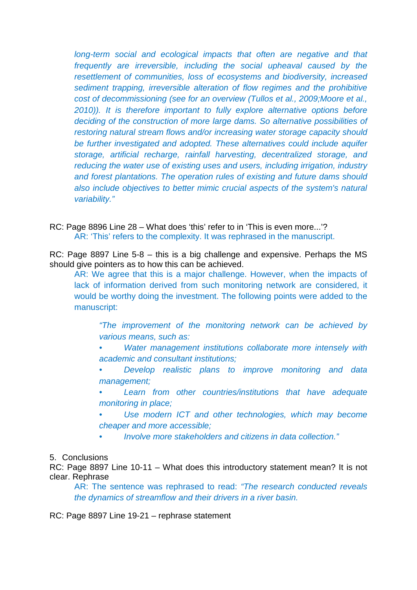*long-term social and ecological impacts that often are negative and that frequently are irreversible, including the social upheaval caused by the resettlement of communities, loss of ecosystems and biodiversity, increased sediment trapping, irreversible alteration of flow regimes and the prohibitive cost of decommissioning (see for an overview (Tullos et al., 2009;Moore et al., 2010)). It is therefore important to fully explore alternative options before deciding of the construction of more large dams. So alternative possibilities of restoring natural stream flows and/or increasing water storage capacity should be further investigated and adopted. These alternatives could include aquifer storage, artificial recharge, rainfall harvesting, decentralized storage, and reducing the water use of existing uses and users, including irrigation, industry and forest plantations. The operation rules of existing and future dams should also include objectives to better mimic crucial aspects of the system's natural variability."*

RC: Page 8896 Line 28 – What does 'this' refer to in 'This is even more...'? AR: 'This' refers to the complexity. It was rephrased in the manuscript.

RC: Page 8897 Line 5-8 – this is a big challenge and expensive. Perhaps the MS should give pointers as to how this can be achieved.

AR: We agree that this is a major challenge. However, when the impacts of lack of information derived from such monitoring network are considered, it would be worthy doing the investment. The following points were added to the manuscript:

*"The improvement of the monitoring network can be achieved by various means, such as:*

- *• Water management institutions collaborate more intensely with academic and consultant institutions;*
- *• Develop realistic plans to improve monitoring and data management;*

*• Learn from other countries/institutions that have adequate monitoring in place;*

*• Use modern ICT and other technologies, which may become cheaper and more accessible;*

*• Involve more stakeholders and citizens in data collection."*

5. Conclusions

RC: Page 8897 Line 10-11 – What does this introductory statement mean? It is not clear. Rephrase

AR: The sentence was rephrased to read: *"The research conducted reveals the dynamics of streamflow and their drivers in a river basin.*

RC: Page 8897 Line 19-21 – rephrase statement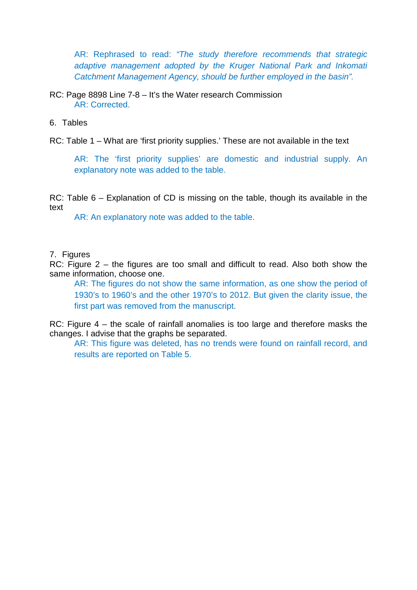AR: Rephrased to read: *"The study therefore recommends that strategic adaptive management adopted by the Kruger National Park and Inkomati Catchment Management Agency, should be further employed in the basin".*

RC: Page 8898 Line 7-8 – It's the Water research Commission AR: Corrected.

6. Tables

RC: Table 1 – What are 'first priority supplies.' These are not available in the text

AR: The 'first priority supplies' are domestic and industrial supply. An explanatory note was added to the table.

RC: Table 6 – Explanation of CD is missing on the table, though its available in the text

AR: An explanatory note was added to the table.

## 7. Figures

RC: Figure 2 – the figures are too small and difficult to read. Also both show the same information, choose one.

AR: The figures do not show the same information, as one show the period of 1930's to 1960's and the other 1970's to 2012. But given the clarity issue, the first part was removed from the manuscript.

RC: Figure 4 – the scale of rainfall anomalies is too large and therefore masks the changes. I advise that the graphs be separated.

AR: This figure was deleted, has no trends were found on rainfall record, and results are reported on Table 5.